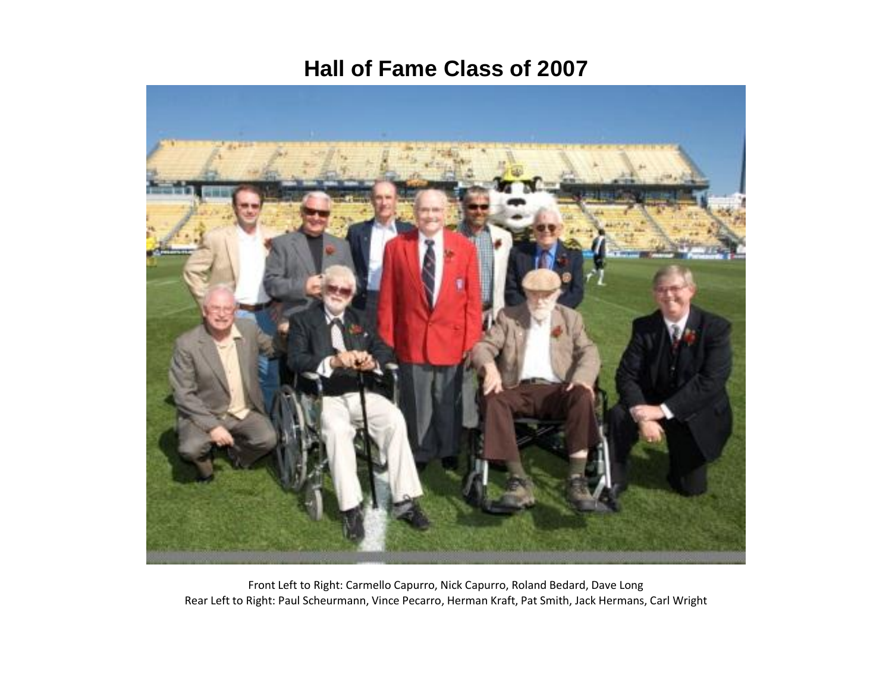#### **Hall of Fame Class of 2007**



Front Left to Right: Carmello Capurro, Nick Capurro, Roland Bedard, Dave Long Rear Left to Right: Paul Scheurmann, Vince Pecarro, Herman Kraft, Pat Smith, Jack Hermans, Carl Wright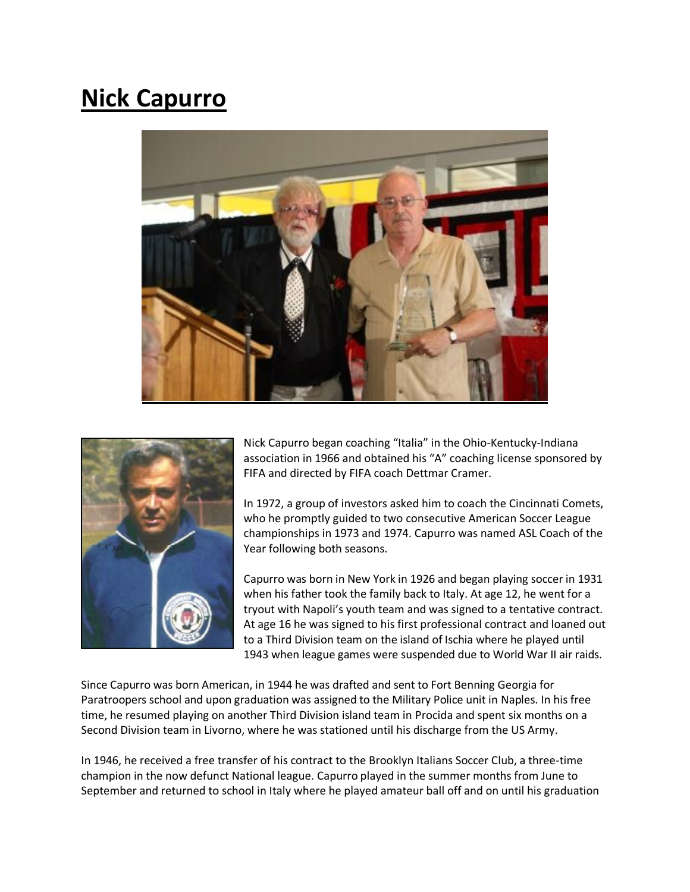## **Nick Capurro**





Nick Capurro began coaching "Italia" in the Ohio-Kentucky-Indiana association in 1966 and obtained his "A" coaching license sponsored by FIFA and directed by FIFA coach Dettmar Cramer.

In 1972, a group of investors asked him to coach the Cincinnati Comets, who he promptly guided to two consecutive American Soccer League championships in 1973 and 1974. Capurro was named ASL Coach of the Year following both seasons.

Capurro was born in New York in 1926 and began playing soccer in 1931 when his father took the family back to Italy. At age 12, he went for a tryout with Napoli's youth team and was signed to a tentative contract. At age 16 he was signed to his first professional contract and loaned out to a Third Division team on the island of Ischia where he played until 1943 when league games were suspended due to World War II air raids.

Since Capurro was born American, in 1944 he was drafted and sent to Fort Benning Georgia for Paratroopers school and upon graduation was assigned to the Military Police unit in Naples. In his free time, he resumed playing on another Third Division island team in Procida and spent six months on a Second Division team in Livorno, where he was stationed until his discharge from the US Army.

In 1946, he received a free transfer of his contract to the Brooklyn Italians Soccer Club, a three-time champion in the now defunct National league. Capurro played in the summer months from June to September and returned to school in Italy where he played amateur ball off and on until his graduation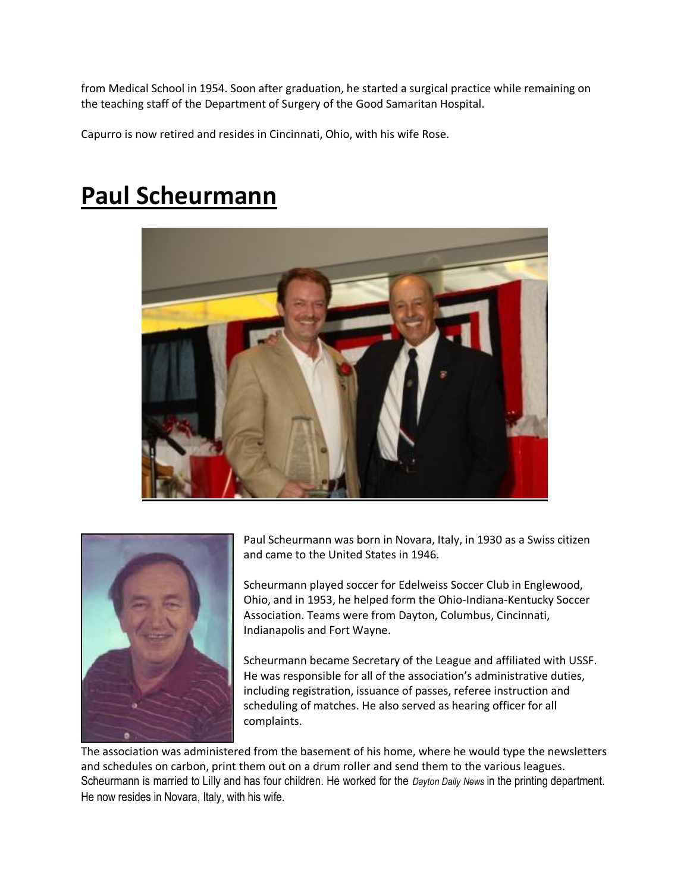from Medical School in 1954. Soon after graduation, he started a surgical practice while remaining on the teaching staff of the Department of Surgery of the Good Samaritan Hospital.

Capurro is now retired and resides in Cincinnati, Ohio, with his wife Rose.

#### **Paul Scheurmann**





Paul Scheurmann was born in Novara, Italy, in 1930 as a Swiss citizen and came to the United States in 1946.

Scheurmann played soccer for Edelweiss Soccer Club in Englewood, Ohio, and in 1953, he helped form the Ohio-Indiana-Kentucky Soccer Association. Teams were from Dayton, Columbus, Cincinnati, Indianapolis and Fort Wayne.

Scheurmann became Secretary of the League and affiliated with USSF. He was responsible for all of the association's administrative duties, including registration, issuance of passes, referee instruction and scheduling of matches. He also served as hearing officer for all complaints.

The association was administered from the basement of his home, where he would type the newsletters and schedules on carbon, print them out on a drum roller and send them to the various leagues. Scheurmann is married to Lilly and has four children. He worked for the *Dayton Daily News* in the printing department. He now resides in Novara, Italy, with his wife.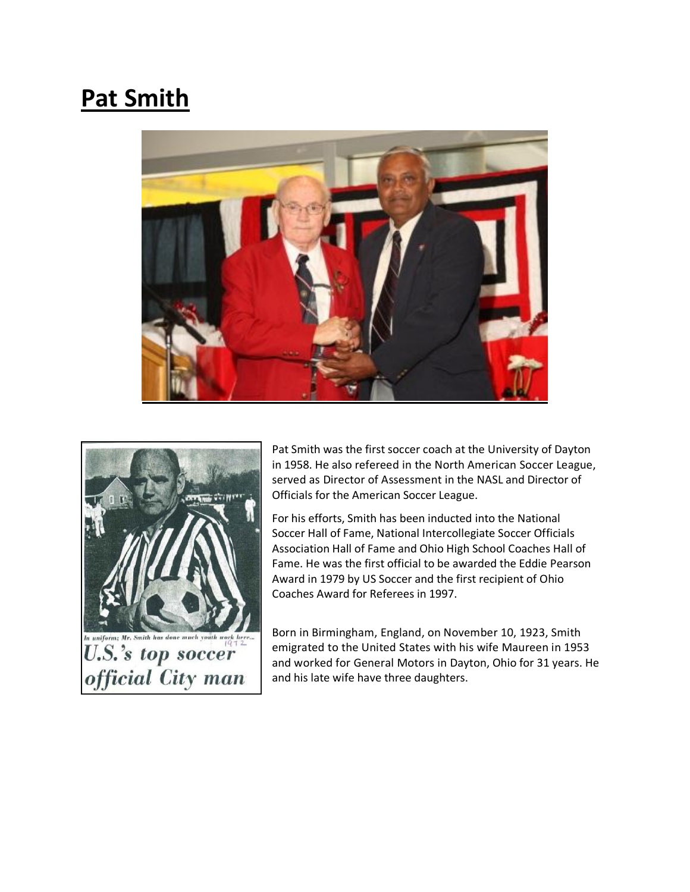# **Pat Smith**





Pat Smith was the first soccer coach at the University of Dayton in 1958. He also refereed in the North American Soccer League, served as Director of Assessment in the NASL and Director of Officials for the American Soccer League.

For his efforts, Smith has been inducted into the National Soccer Hall of Fame, National Intercollegiate Soccer Officials Association Hall of Fame and Ohio High School Coaches Hall of Fame. He was the first official to be awarded the Eddie Pearson Award in 1979 by US Soccer and the first recipient of Ohio Coaches Award for Referees in 1997.

Born in Birmingham, England, on November 10, 1923, Smith emigrated to the United States with his wife Maureen in 1953 and worked for General Motors in Dayton, Ohio for 31 years. He and his late wife have three daughters.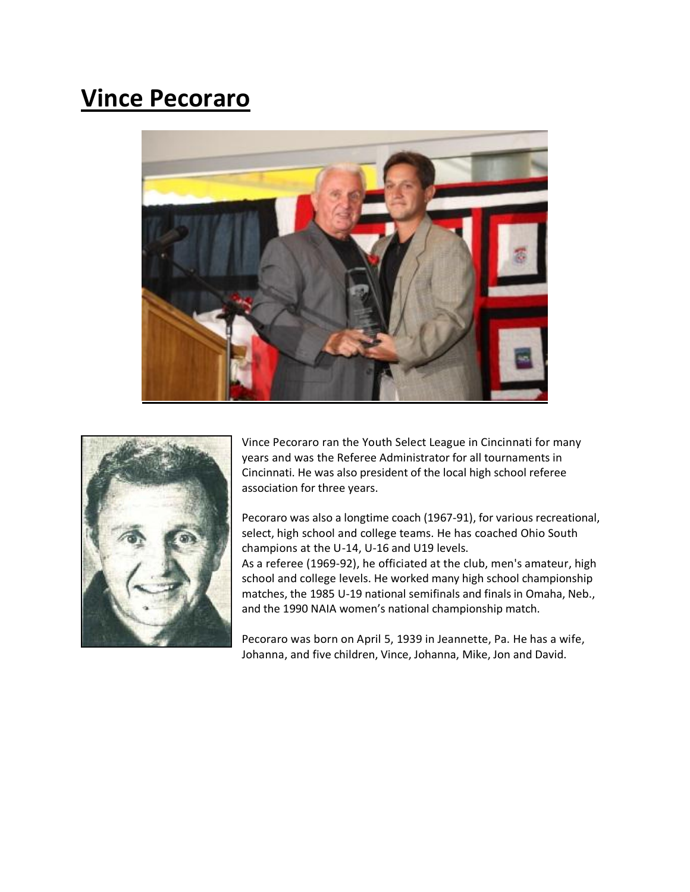### **Vince Pecoraro**





Vince Pecoraro ran the Youth Select League in Cincinnati for many years and was the Referee Administrator for all tournaments in Cincinnati. He was also president of the local high school referee association for three years.

Pecoraro was also a longtime coach (1967-91), for various recreational, select, high school and college teams. He has coached Ohio South champions at the U-14, U-16 and U19 levels.

As a referee (1969-92), he officiated at the club, men's amateur, high school and college levels. He worked many high school championship matches, the 1985 U-19 national semifinals and finals in Omaha, Neb., and the 1990 NAIA women's national championship match.

Pecoraro was born on April 5, 1939 in Jeannette, Pa. He has a wife, Johanna, and five children, Vince, Johanna, Mike, Jon and David.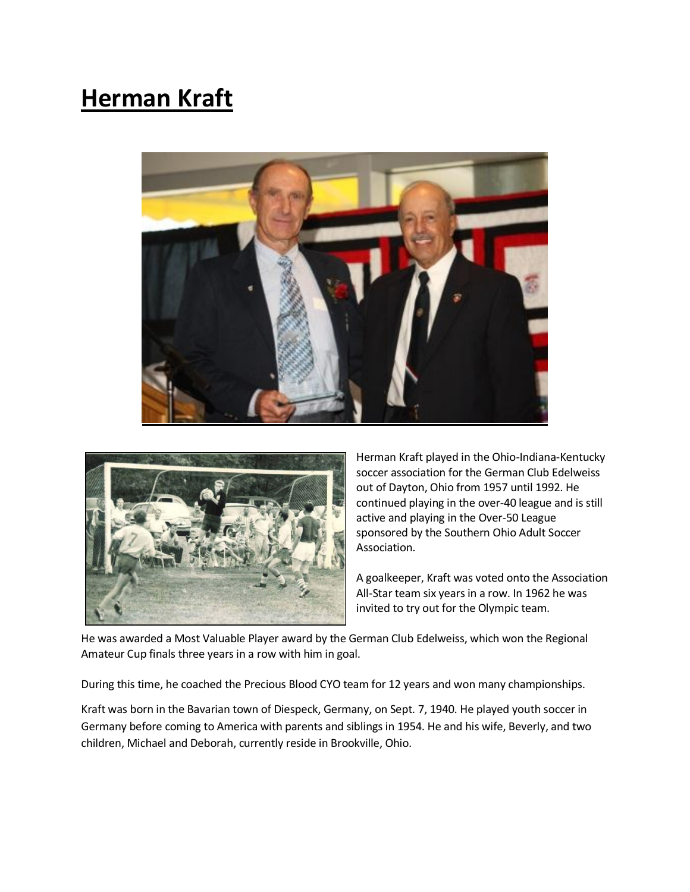# **Herman Kraft**





Herman Kraft played in the Ohio-Indiana-Kentucky soccer association for the German Club Edelweiss out of Dayton, Ohio from 1957 until 1992. He continued playing in the over-40 league and is still active and playing in the Over-50 League sponsored by the Southern Ohio Adult Soccer Association.

A goalkeeper, Kraft was voted onto the Association All-Star team six years in a row. In 1962 he was invited to try out for the Olympic team.

He was awarded a Most Valuable Player award by the German Club Edelweiss, which won the Regional Amateur Cup finals three years in a row with him in goal.

During this time, he coached the Precious Blood CYO team for 12 years and won many championships.

Kraft was born in the Bavarian town of Diespeck, Germany, on Sept. 7, 1940. He played youth soccer in Germany before coming to America with parents and siblings in 1954. He and his wife, Beverly, and two children, Michael and Deborah, currently reside in Brookville, Ohio.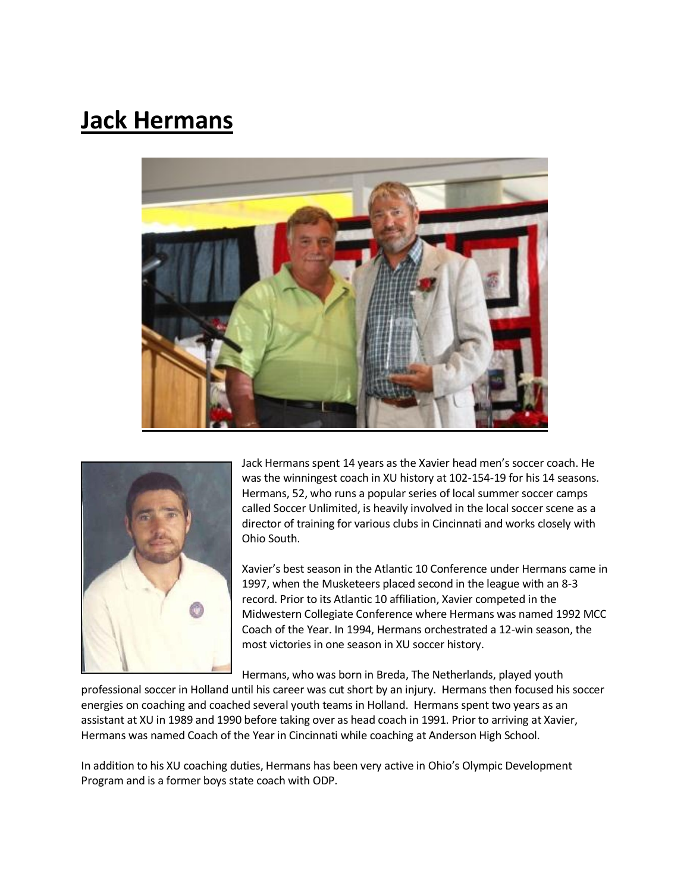### **Jack Hermans**





Jack Hermans spent 14 years as the Xavier head men's soccer coach. He was the winningest coach in XU history at 102-154-19 for his 14 seasons. Hermans, 52, who runs a popular series of local summer soccer camps called Soccer Unlimited, is heavily involved in the local soccer scene as a director of training for various clubs in Cincinnati and works closely with Ohio South.

Xavier's best season in the Atlantic 10 Conference under Hermans came in 1997, when the Musketeers placed second in the league with an 8-3 record. Prior to its Atlantic 10 affiliation, Xavier competed in the Midwestern Collegiate Conference where Hermans was named 1992 MCC Coach of the Year. In 1994, Hermans orchestrated a 12-win season, the most victories in one season in XU soccer history.

Hermans, who was born in Breda, The Netherlands, played youth

professional soccer in Holland until his career was cut short by an injury. Hermans then focused his soccer energies on coaching and coached several youth teams in Holland. Hermans spent two years as an assistant at XU in 1989 and 1990 before taking over as head coach in 1991. Prior to arriving at Xavier, Hermans was named Coach of the Year in Cincinnati while coaching at Anderson High School.

In addition to his XU coaching duties, Hermans has been very active in Ohio's Olympic Development Program and is a former boys state coach with ODP.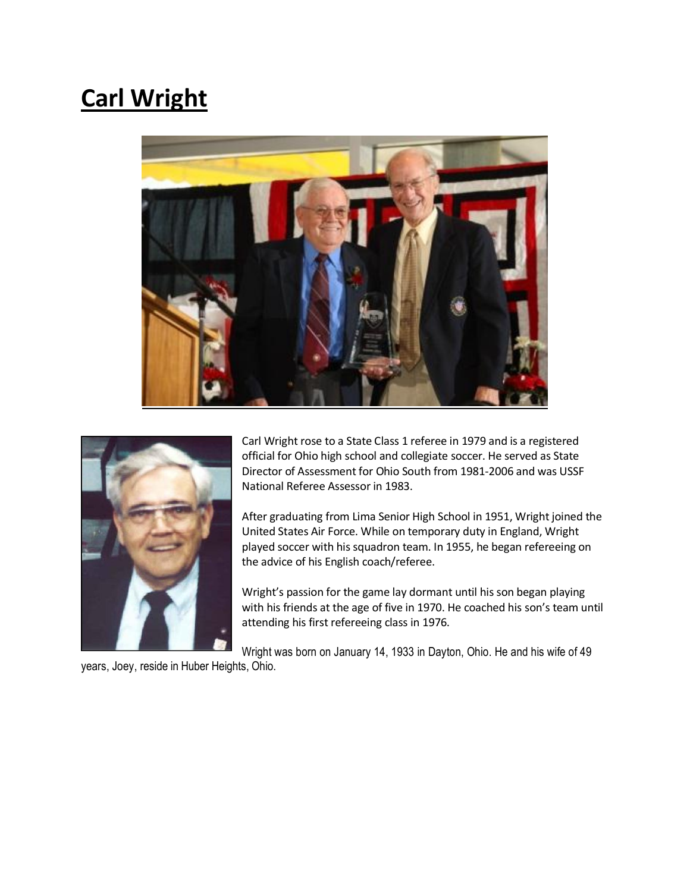# **Carl Wright**





Carl Wright rose to a State Class 1 referee in 1979 and is a registered official for Ohio high school and collegiate soccer. He served as State Director of Assessment for Ohio South from 1981-2006 and was USSF National Referee Assessor in 1983.

After graduating from Lima Senior High School in 1951, Wright joined the United States Air Force. While on temporary duty in England, Wright played soccer with his squadron team. In 1955, he began refereeing on the advice of his English coach/referee.

Wright's passion for the game lay dormant until his son began playing with his friends at the age of five in 1970. He coached his son's team until attending his first refereeing class in 1976.

Wright was born on January 14, 1933 in Dayton, Ohio. He and his wife of 49

years, Joey, reside in Huber Heights, Ohio.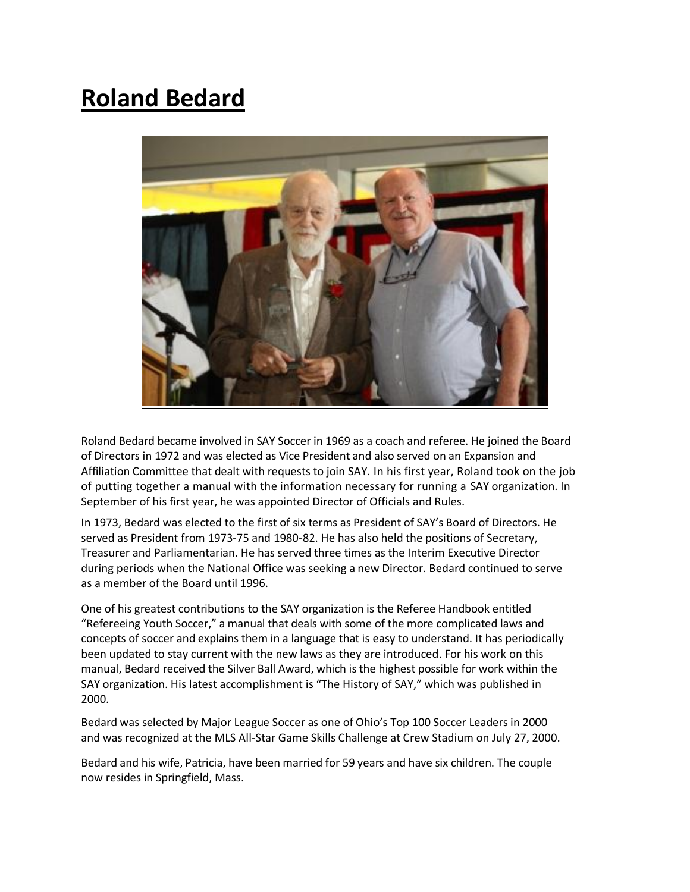## **Roland Bedard**



Roland Bedard became involved in SAY Soccer in 1969 as a coach and referee. He joined the Board of Directors in 1972 and was elected as Vice President and also served on an Expansion and Affiliation Committee that dealt with requests to join SAY. In his first year, Roland took on the job of putting together a manual with the information necessary for running a SAY organization. In September of his first year, he was appointed Director of Officials and Rules.

In 1973, Bedard was elected to the first of six terms as President of SAY's Board of Directors. He served as President from 1973-75 and 1980-82. He has also held the positions of Secretary, Treasurer and Parliamentarian. He has served three times as the Interim Executive Director during periods when the National Office was seeking a new Director. Bedard continued to serve as a member of the Board until 1996.

One of his greatest contributions to the SAY organization is the Referee Handbook entitled "Refereeing Youth Soccer," a manual that deals with some of the more complicated laws and concepts of soccer and explains them in a language that is easy to understand. It has periodically been updated to stay current with the new laws as they are introduced. For his work on this manual, Bedard received the Silver Ball Award, which is the highest possible for work within the SAY organization. His latest accomplishment is "The History of SAY," which was published in 2000.

Bedard was selected by Major League Soccer as one of Ohio's Top 100 Soccer Leaders in 2000 and was recognized at the MLS All-Star Game Skills Challenge at Crew Stadium on July 27, 2000.

Bedard and his wife, Patricia, have been married for 59 years and have six children. The couple now resides in Springfield, Mass.